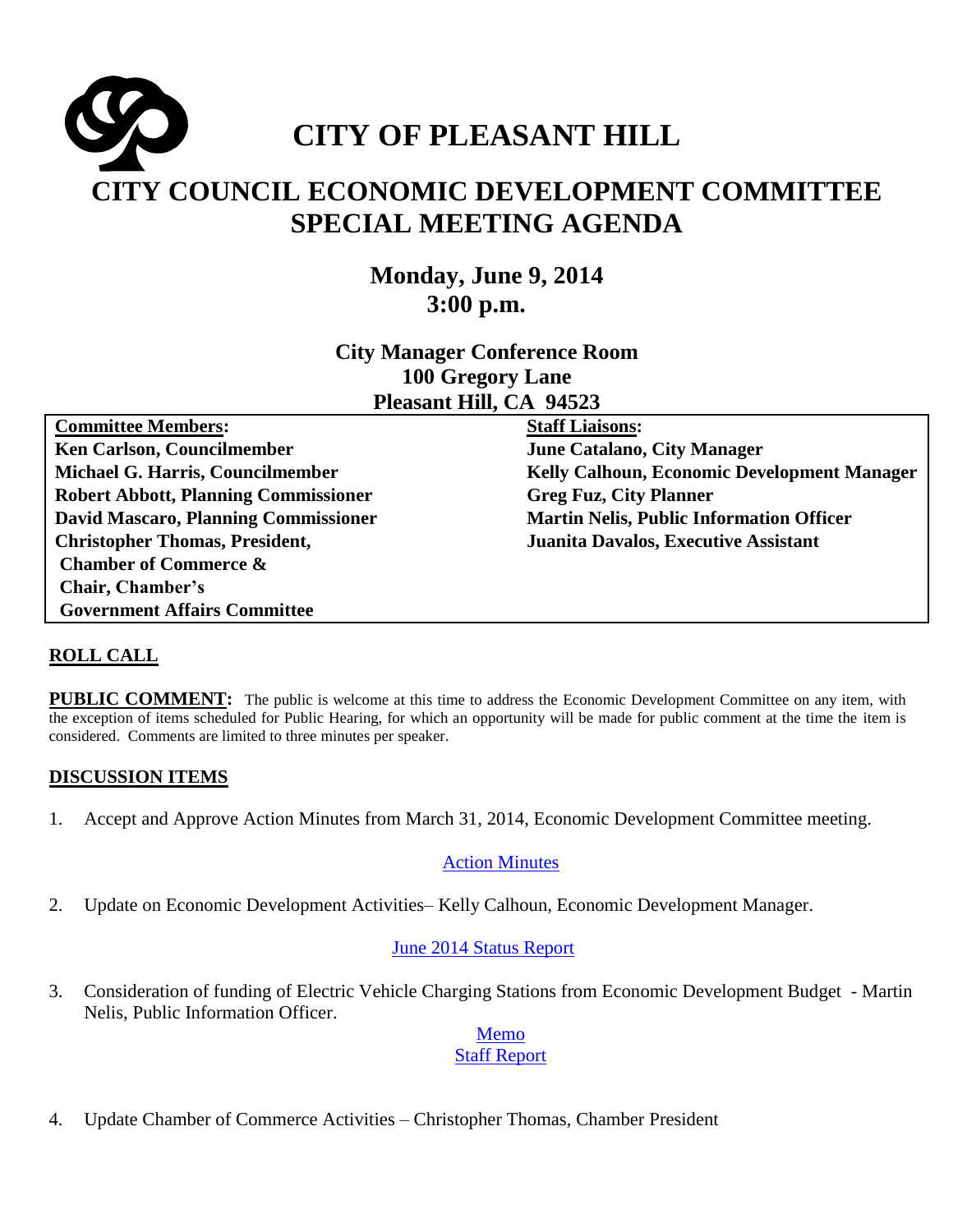

# **CITY COUNCIL ECONOMIC DEVELOPMENT COMMITTEE SPECIAL MEETING AGENDA**

**Monday, June 9, 2014 3:00 p.m.**

**City Manager Conference Room 100 Gregory Lane Pleasant Hill, CA 94523**

**Committee Members: Ken Carlson, Councilmember Michael G. Harris, Councilmember Robert Abbott, Planning Commissioner David Mascaro, Planning Commissioner Christopher Thomas, President, Chamber of Commerce & Chair, Chamber's Government Affairs Committee** 

**Staff Liaisons: June Catalano, City Manager Kelly Calhoun, Economic Development Manager Greg Fuz, City Planner Martin Nelis, Public Information Officer Juanita Davalos, Executive Assistant** 

#### **ROLL CALL**

**PUBLIC COMMENT:** The public is welcome at this time to address the Economic Development Committee on any item, with the exception of items scheduled for Public Hearing, for which an opportunity will be made for public comment at the time the item is considered. Comments are limited to three minutes per speaker.

#### **DISCUSSION ITEMS**

1. Accept and Approve Action Minutes from March 31, 2014, Economic Development Committee meeting.

#### [Action Minutes](http://www.ci.pleasant-hill.ca.us/DocumentCenter/View/12661)

2. Update on Economic Development Activities– Kelly Calhoun, Economic Development Manager.

#### June 2014 [Status Report](http://www.ci.pleasant-hill.ca.us/DocumentCenter/View/12662)

3. Consideration of funding of Electric Vehicle Charging Stations from Economic Development Budget - Martin Nelis, Public Information Officer.

#### [Memo](http://www.ci.pleasant-hill.ca.us/DocumentCenter/View/12663) [Staff Report](http://www.ci.pleasant-hill.ca.us/DocumentCenter/View/12664)

4. Update Chamber of Commerce Activities – Christopher Thomas, Chamber President